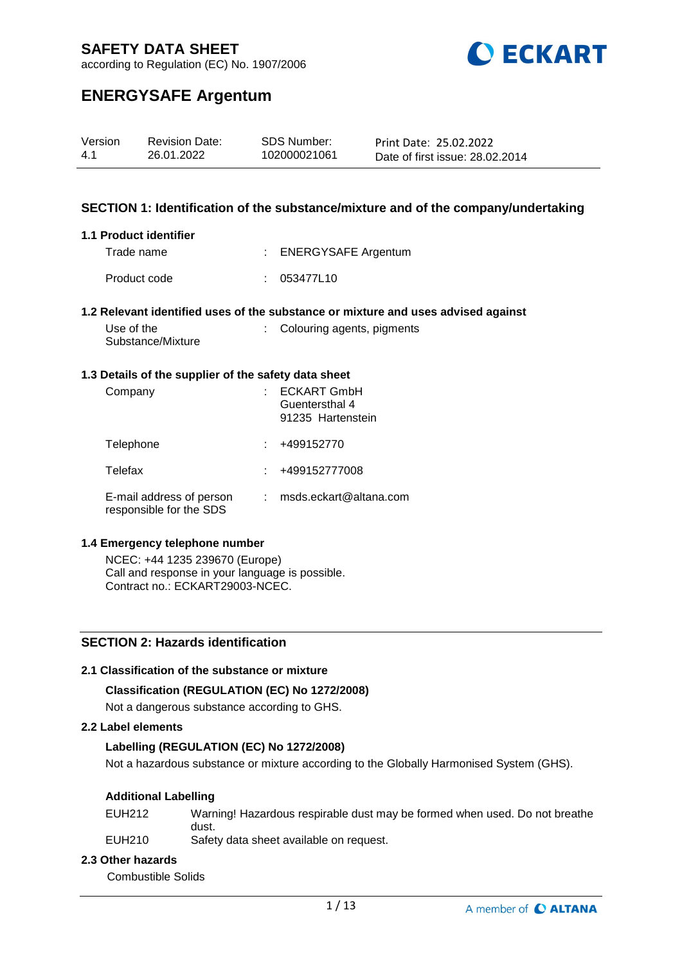

according to Regulation (EC) No. 1907/2006

# **ENERGYSAFE Argentum**

| Version | <b>Revision Date:</b> | <b>SDS Number:</b> | Print Date: 25.02.2022          |
|---------|-----------------------|--------------------|---------------------------------|
| 4.1     | 26.01.2022            | 102000021061       | Date of first issue: 28.02.2014 |

### **SECTION 1: Identification of the substance/mixture and of the company/undertaking**

### **1.1 Product identifier**

Trade name : ENERGYSAFE Argentum Product code : 053477L10

### **1.2 Relevant identified uses of the substance or mixture and uses advised against**

| Use of the        | : Colouring agents, pigments |
|-------------------|------------------------------|
| Substance/Mixture |                              |

### **1.3 Details of the supplier of the safety data sheet**

| Company                                             | <b>ECKART GmbH</b><br>Guentersthal 4<br>91235 Hartenstein |
|-----------------------------------------------------|-----------------------------------------------------------|
| Telephone                                           | +499152770                                                |
| Telefax                                             | +499152777008                                             |
| E-mail address of person<br>responsible for the SDS | msds.eckart@altana.com                                    |

#### **1.4 Emergency telephone number**

NCEC: +44 1235 239670 (Europe) Call and response in your language is possible. Contract no.: ECKART29003-NCEC.

### **SECTION 2: Hazards identification**

### **2.1 Classification of the substance or mixture**

### **Classification (REGULATION (EC) No 1272/2008)**

Not a dangerous substance according to GHS.

### **2.2 Label elements**

### **Labelling (REGULATION (EC) No 1272/2008)**

Not a hazardous substance or mixture according to the Globally Harmonised System (GHS).

### **Additional Labelling**

| EUH212 | Warning! Hazardous respirable dust may be formed when used. Do not breathe |
|--------|----------------------------------------------------------------------------|
|        | dust.                                                                      |
| EUH210 | Safety data sheet available on request.                                    |

#### **2.3 Other hazards**

Combustible Solids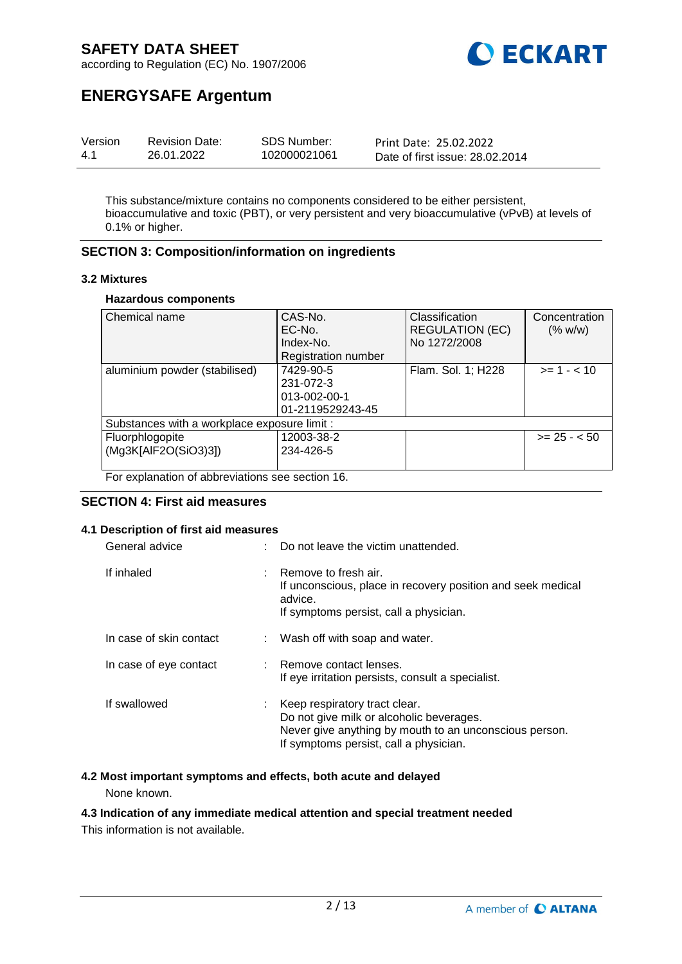

according to Regulation (EC) No. 1907/2006

# **ENERGYSAFE Argentum**

| Version | <b>Revision Date:</b> | SDS Number:  | Print Date: 25.02.2022          |
|---------|-----------------------|--------------|---------------------------------|
| -4.1    | 26.01.2022            | 102000021061 | Date of first issue: 28.02.2014 |

This substance/mixture contains no components considered to be either persistent, bioaccumulative and toxic (PBT), or very persistent and very bioaccumulative (vPvB) at levels of 0.1% or higher.

## **SECTION 3: Composition/information on ingredients**

### **3.2 Mixtures**

### **Hazardous components**

| Chemical name                                | CAS-No.                    | Classification         | Concentration |
|----------------------------------------------|----------------------------|------------------------|---------------|
|                                              | EC-No.                     | <b>REGULATION (EC)</b> | (% w/w)       |
|                                              | Index-No.                  | No 1272/2008           |               |
|                                              | <b>Registration number</b> |                        |               |
| aluminium powder (stabilised)                | 7429-90-5                  | Flam. Sol. 1; H228     | $>= 1 - < 10$ |
|                                              | 231-072-3                  |                        |               |
|                                              | 013-002-00-1               |                        |               |
|                                              | 01-2119529243-45           |                        |               |
| Substances with a workplace exposure limit : |                            |                        |               |
| Fluorphlogopite                              | 12003-38-2                 |                        | $>= 25 - 50$  |
| (Mg3K[AlF2O(SiO3)3])                         | 234-426-5                  |                        |               |
|                                              |                            |                        |               |

For explanation of abbreviations see section 16.

## **SECTION 4: First aid measures**

### **4.1 Description of first aid measures**

| General advice          | $\therefore$ Do not leave the victim unattended.                                                                                                                                |  |
|-------------------------|---------------------------------------------------------------------------------------------------------------------------------------------------------------------------------|--|
| If inhaled              | $:$ Remove to fresh air.<br>If unconscious, place in recovery position and seek medical<br>advice.<br>If symptoms persist, call a physician.                                    |  |
| In case of skin contact | : Wash off with soap and water.                                                                                                                                                 |  |
| In case of eye contact  | : Remove contact lenses.<br>If eye irritation persists, consult a specialist.                                                                                                   |  |
| If swallowed            | : Keep respiratory tract clear.<br>Do not give milk or alcoholic beverages.<br>Never give anything by mouth to an unconscious person.<br>If symptoms persist, call a physician. |  |

## **4.2 Most important symptoms and effects, both acute and delayed**

None known.

### **4.3 Indication of any immediate medical attention and special treatment needed**

This information is not available.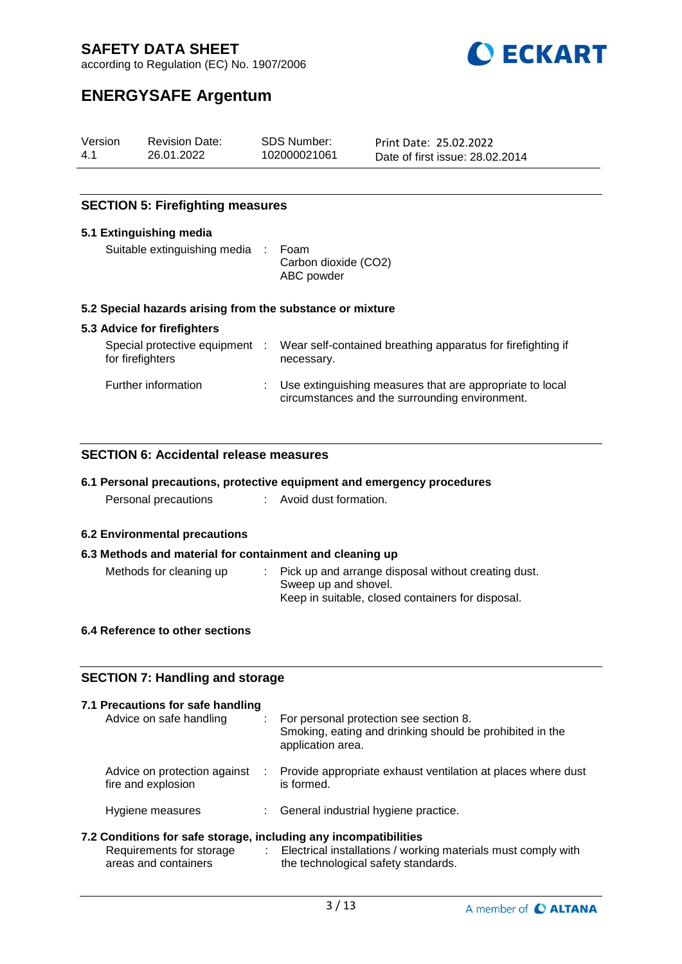

according to Regulation (EC) No. 1907/2006

# **ENERGYSAFE Argentum**

| Version | <b>Revision Date:</b> | SDS Number:  | Print Date: 25.02.2022          |
|---------|-----------------------|--------------|---------------------------------|
| 4.1     | 26.01.2022            | 102000021061 | Date of first issue: 28.02.2014 |

## **SECTION 5: Firefighting measures**

### **5.1 Extinguishing media**

| Suitable extinguishing media : Foam |                      |
|-------------------------------------|----------------------|
|                                     | Carbon dioxide (CO2) |
|                                     | ABC powder           |

### **5.2 Special hazards arising from the substance or mixture**

### **5.3 Advice for firefighters**

| Special protective equipment :<br>for firefighters |                     | Wear self-contained breathing apparatus for firefighting if<br>necessary.                                  |
|----------------------------------------------------|---------------------|------------------------------------------------------------------------------------------------------------|
| Further information                                | <b>Participants</b> | Use extinguishing measures that are appropriate to local<br>circumstances and the surrounding environment. |

## **SECTION 6: Accidental release measures**

|  |  |  |  |  | 6.1 Personal precautions, protective equipment and emergency procedures |  |
|--|--|--|--|--|-------------------------------------------------------------------------|--|
|  |  |  |  |  |                                                                         |  |

Personal precautions : Avoid dust formation.

### **6.2 Environmental precautions**

### **6.3 Methods and material for containment and cleaning up** Methods for cleaning up : Pick up and arrange disposal without creating dust. Sweep up and shovel.

### **6.4 Reference to other sections**

## **SECTION 7: Handling and storage**

| 7.1 Precautions for safe handling<br>Advice on safe handling                                                         |   | For personal protection see section 8.<br>Smoking, eating and drinking should be prohibited in the<br>application area. |
|----------------------------------------------------------------------------------------------------------------------|---|-------------------------------------------------------------------------------------------------------------------------|
| Advice on protection against<br>fire and explosion                                                                   | ÷ | Provide appropriate exhaust ventilation at places where dust<br>is formed.                                              |
| Hygiene measures                                                                                                     |   | : General industrial hygiene practice.                                                                                  |
| 7.2 Conditions for safe storage, including any incompatibilities<br>Requirements for storage<br>areas and containers |   | : Electrical installations / working materials must comply with<br>the technological safety standards.                  |

Keep in suitable, closed containers for disposal.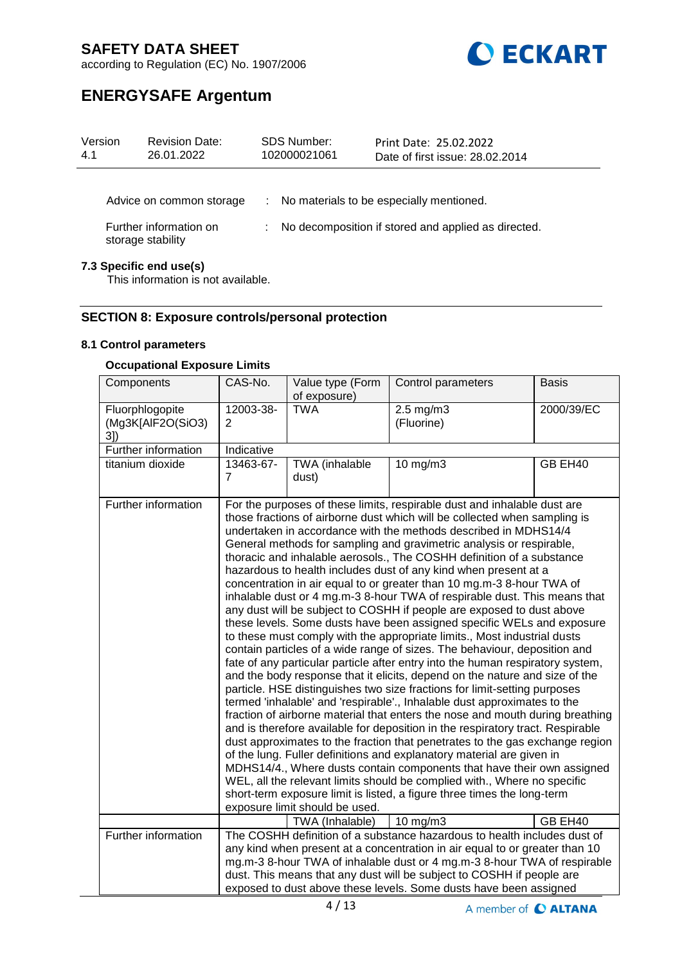

according to Regulation (EC) No. 1907/2006

# **ENERGYSAFE Argentum**

| Version<br>4.1 | <b>Revision Date:</b><br>26.01.2022                            | <b>SDS Number:</b><br>102000021061 | Print Date: 25.02.2022<br>Date of first issue: 28.02.2014 |
|----------------|----------------------------------------------------------------|------------------------------------|-----------------------------------------------------------|
|                | Advice on common storage                                       | ÷                                  | No materials to be especially mentioned.                  |
|                | Further information on<br>storage stability                    |                                    | No decomposition if stored and applied as directed.       |
|                | 7.3 Specific end use(s)<br>This information is not acceptable. |                                    |                                                           |

# This information is not available.

## **SECTION 8: Exposure controls/personal protection**

## **8.1 Control parameters**

## **Occupational Exposure Limits**

| Components                                 | CAS-No.        | Value type (Form<br>of exposure) | Control parameters                                                                                                                                                                                                                                                                                                                                                                                                                                                                                                                                                                                                                                                                                                                                                                                                                                                                                                                                                                                                                                                                                                                                                                                                                                                                                                                                                                                                                                                                                                                                                                                                                                                                                                                                                                                    | <b>Basis</b> |
|--------------------------------------------|----------------|----------------------------------|-------------------------------------------------------------------------------------------------------------------------------------------------------------------------------------------------------------------------------------------------------------------------------------------------------------------------------------------------------------------------------------------------------------------------------------------------------------------------------------------------------------------------------------------------------------------------------------------------------------------------------------------------------------------------------------------------------------------------------------------------------------------------------------------------------------------------------------------------------------------------------------------------------------------------------------------------------------------------------------------------------------------------------------------------------------------------------------------------------------------------------------------------------------------------------------------------------------------------------------------------------------------------------------------------------------------------------------------------------------------------------------------------------------------------------------------------------------------------------------------------------------------------------------------------------------------------------------------------------------------------------------------------------------------------------------------------------------------------------------------------------------------------------------------------------|--------------|
| Fluorphlogopite<br>(Mg3K[AlF2O(SiO3)<br>3] | 12003-38-<br>2 | <b>TWA</b>                       | $2.5 \text{ mg/m}$ 3<br>(Fluorine)                                                                                                                                                                                                                                                                                                                                                                                                                                                                                                                                                                                                                                                                                                                                                                                                                                                                                                                                                                                                                                                                                                                                                                                                                                                                                                                                                                                                                                                                                                                                                                                                                                                                                                                                                                    | 2000/39/EC   |
| Further information                        | Indicative     |                                  |                                                                                                                                                                                                                                                                                                                                                                                                                                                                                                                                                                                                                                                                                                                                                                                                                                                                                                                                                                                                                                                                                                                                                                                                                                                                                                                                                                                                                                                                                                                                                                                                                                                                                                                                                                                                       |              |
| titanium dioxide                           | 13463-67-<br>7 | TWA (inhalable<br>dust)          | $10$ mg/m $3$                                                                                                                                                                                                                                                                                                                                                                                                                                                                                                                                                                                                                                                                                                                                                                                                                                                                                                                                                                                                                                                                                                                                                                                                                                                                                                                                                                                                                                                                                                                                                                                                                                                                                                                                                                                         | GB EH40      |
| Further information                        |                | exposure limit should be used.   | For the purposes of these limits, respirable dust and inhalable dust are<br>those fractions of airborne dust which will be collected when sampling is<br>undertaken in accordance with the methods described in MDHS14/4<br>General methods for sampling and gravimetric analysis or respirable,<br>thoracic and inhalable aerosols., The COSHH definition of a substance<br>hazardous to health includes dust of any kind when present at a<br>concentration in air equal to or greater than 10 mg.m-3 8-hour TWA of<br>inhalable dust or 4 mg.m-3 8-hour TWA of respirable dust. This means that<br>any dust will be subject to COSHH if people are exposed to dust above<br>these levels. Some dusts have been assigned specific WELs and exposure<br>to these must comply with the appropriate limits., Most industrial dusts<br>contain particles of a wide range of sizes. The behaviour, deposition and<br>fate of any particular particle after entry into the human respiratory system,<br>and the body response that it elicits, depend on the nature and size of the<br>particle. HSE distinguishes two size fractions for limit-setting purposes<br>termed 'inhalable' and 'respirable'., Inhalable dust approximates to the<br>fraction of airborne material that enters the nose and mouth during breathing<br>and is therefore available for deposition in the respiratory tract. Respirable<br>dust approximates to the fraction that penetrates to the gas exchange region<br>of the lung. Fuller definitions and explanatory material are given in<br>MDHS14/4., Where dusts contain components that have their own assigned<br>WEL, all the relevant limits should be complied with., Where no specific<br>short-term exposure limit is listed, a figure three times the long-term |              |
|                                            |                | TWA (Inhalable)                  | $10 \text{ mg/m}$ 3                                                                                                                                                                                                                                                                                                                                                                                                                                                                                                                                                                                                                                                                                                                                                                                                                                                                                                                                                                                                                                                                                                                                                                                                                                                                                                                                                                                                                                                                                                                                                                                                                                                                                                                                                                                   | GB EH40      |
| Further information                        |                |                                  | The COSHH definition of a substance hazardous to health includes dust of<br>any kind when present at a concentration in air equal to or greater than 10<br>mg.m-3 8-hour TWA of inhalable dust or 4 mg.m-3 8-hour TWA of respirable<br>dust. This means that any dust will be subject to COSHH if people are<br>exposed to dust above these levels. Some dusts have been assigned                                                                                                                                                                                                                                                                                                                                                                                                                                                                                                                                                                                                                                                                                                                                                                                                                                                                                                                                                                                                                                                                                                                                                                                                                                                                                                                                                                                                                     |              |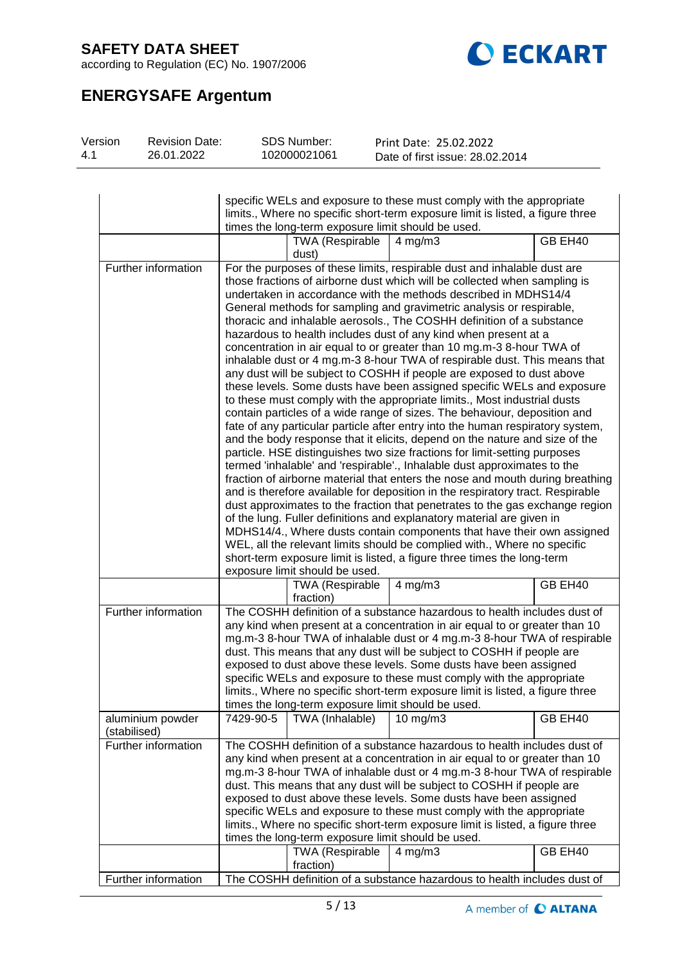

according to Regulation (EC) No. 1907/2006

# **ENERGYSAFE Argentum**

| Version | <b>Revision Date:</b> | SDS Number:  | Print Date: 25.02.2022          |  |
|---------|-----------------------|--------------|---------------------------------|--|
| 4.1     | 26.01.2022            | 102000021061 | Date of first issue: 28,02,2014 |  |

|                                  | specific WELs and exposure to these must comply with the appropriate<br>limits., Where no specific short-term exposure limit is listed, a figure three |                                                                 |                                                                                                                                                                                                                                                                                                                                                                                                                                                                                                                                                                                                                                                                                                                                                                                                                                                                                                                                                                                                                                                                                                                                                                                                                                                                                                                                                                                                                                                                                                                                                                                                                                                                                                                                                                                                       |         |  |  |
|----------------------------------|--------------------------------------------------------------------------------------------------------------------------------------------------------|-----------------------------------------------------------------|-------------------------------------------------------------------------------------------------------------------------------------------------------------------------------------------------------------------------------------------------------------------------------------------------------------------------------------------------------------------------------------------------------------------------------------------------------------------------------------------------------------------------------------------------------------------------------------------------------------------------------------------------------------------------------------------------------------------------------------------------------------------------------------------------------------------------------------------------------------------------------------------------------------------------------------------------------------------------------------------------------------------------------------------------------------------------------------------------------------------------------------------------------------------------------------------------------------------------------------------------------------------------------------------------------------------------------------------------------------------------------------------------------------------------------------------------------------------------------------------------------------------------------------------------------------------------------------------------------------------------------------------------------------------------------------------------------------------------------------------------------------------------------------------------------|---------|--|--|
|                                  | times the long-term exposure limit should be used.<br><b>TWA (Respirable</b><br>GB EH40<br>$4$ mg/m $3$                                                |                                                                 |                                                                                                                                                                                                                                                                                                                                                                                                                                                                                                                                                                                                                                                                                                                                                                                                                                                                                                                                                                                                                                                                                                                                                                                                                                                                                                                                                                                                                                                                                                                                                                                                                                                                                                                                                                                                       |         |  |  |
|                                  |                                                                                                                                                        | dust)                                                           |                                                                                                                                                                                                                                                                                                                                                                                                                                                                                                                                                                                                                                                                                                                                                                                                                                                                                                                                                                                                                                                                                                                                                                                                                                                                                                                                                                                                                                                                                                                                                                                                                                                                                                                                                                                                       |         |  |  |
| Further information              |                                                                                                                                                        |                                                                 | For the purposes of these limits, respirable dust and inhalable dust are<br>those fractions of airborne dust which will be collected when sampling is<br>undertaken in accordance with the methods described in MDHS14/4<br>General methods for sampling and gravimetric analysis or respirable,<br>thoracic and inhalable aerosols., The COSHH definition of a substance<br>hazardous to health includes dust of any kind when present at a<br>concentration in air equal to or greater than 10 mg.m-3 8-hour TWA of<br>inhalable dust or 4 mg.m-3 8-hour TWA of respirable dust. This means that<br>any dust will be subject to COSHH if people are exposed to dust above<br>these levels. Some dusts have been assigned specific WELs and exposure<br>to these must comply with the appropriate limits., Most industrial dusts<br>contain particles of a wide range of sizes. The behaviour, deposition and<br>fate of any particular particle after entry into the human respiratory system,<br>and the body response that it elicits, depend on the nature and size of the<br>particle. HSE distinguishes two size fractions for limit-setting purposes<br>termed 'inhalable' and 'respirable'., Inhalable dust approximates to the<br>fraction of airborne material that enters the nose and mouth during breathing<br>and is therefore available for deposition in the respiratory tract. Respirable<br>dust approximates to the fraction that penetrates to the gas exchange region<br>of the lung. Fuller definitions and explanatory material are given in<br>MDHS14/4., Where dusts contain components that have their own assigned<br>WEL, all the relevant limits should be complied with., Where no specific<br>short-term exposure limit is listed, a figure three times the long-term |         |  |  |
|                                  |                                                                                                                                                        | exposure limit should be used.<br><b>TWA (Respirable</b>        | $4$ mg/m $3$                                                                                                                                                                                                                                                                                                                                                                                                                                                                                                                                                                                                                                                                                                                                                                                                                                                                                                                                                                                                                                                                                                                                                                                                                                                                                                                                                                                                                                                                                                                                                                                                                                                                                                                                                                                          | GB EH40 |  |  |
| Further information              |                                                                                                                                                        | fraction)<br>times the long-term exposure limit should be used. | The COSHH definition of a substance hazardous to health includes dust of<br>any kind when present at a concentration in air equal to or greater than 10<br>mg.m-3 8-hour TWA of inhalable dust or 4 mg.m-3 8-hour TWA of respirable<br>dust. This means that any dust will be subject to COSHH if people are<br>exposed to dust above these levels. Some dusts have been assigned<br>specific WELs and exposure to these must comply with the appropriate<br>limits., Where no specific short-term exposure limit is listed, a figure three                                                                                                                                                                                                                                                                                                                                                                                                                                                                                                                                                                                                                                                                                                                                                                                                                                                                                                                                                                                                                                                                                                                                                                                                                                                           |         |  |  |
| aluminium powder<br>(stabilised) | 7429-90-5                                                                                                                                              | TWA (Inhalable)                                                 | $10$ mg/m $3$                                                                                                                                                                                                                                                                                                                                                                                                                                                                                                                                                                                                                                                                                                                                                                                                                                                                                                                                                                                                                                                                                                                                                                                                                                                                                                                                                                                                                                                                                                                                                                                                                                                                                                                                                                                         | GB EH40 |  |  |
| Further information              |                                                                                                                                                        | times the long-term exposure limit should be used.              | The COSHH definition of a substance hazardous to health includes dust of<br>any kind when present at a concentration in air equal to or greater than 10<br>mg.m-3 8-hour TWA of inhalable dust or 4 mg.m-3 8-hour TWA of respirable<br>dust. This means that any dust will be subject to COSHH if people are<br>exposed to dust above these levels. Some dusts have been assigned<br>specific WELs and exposure to these must comply with the appropriate<br>limits., Where no specific short-term exposure limit is listed, a figure three                                                                                                                                                                                                                                                                                                                                                                                                                                                                                                                                                                                                                                                                                                                                                                                                                                                                                                                                                                                                                                                                                                                                                                                                                                                           |         |  |  |
|                                  |                                                                                                                                                        | <b>TWA (Respirable</b><br>fraction)                             | $4$ mg/m $3$                                                                                                                                                                                                                                                                                                                                                                                                                                                                                                                                                                                                                                                                                                                                                                                                                                                                                                                                                                                                                                                                                                                                                                                                                                                                                                                                                                                                                                                                                                                                                                                                                                                                                                                                                                                          | GB EH40 |  |  |
| Further information              |                                                                                                                                                        |                                                                 | The COSHH definition of a substance hazardous to health includes dust of                                                                                                                                                                                                                                                                                                                                                                                                                                                                                                                                                                                                                                                                                                                                                                                                                                                                                                                                                                                                                                                                                                                                                                                                                                                                                                                                                                                                                                                                                                                                                                                                                                                                                                                              |         |  |  |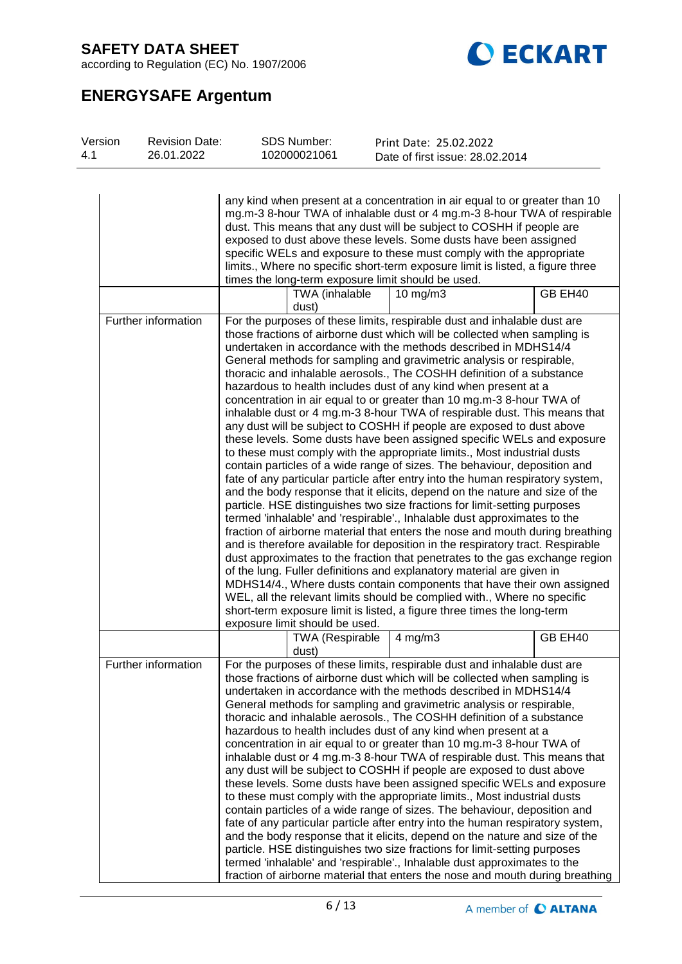



# **ENERGYSAFE Argentum**

| Version<br>4.1 | <b>Revision Date:</b><br>26.01.2022 | <b>SDS Number:</b><br>102000021061 | Print Date: 25.02.2022<br>Date of first issue: 28.02.2014                                                                                                                                                                                                                                                                                                                                                                                                                                                                                                                                                                                                                                                                                                                                                                                                                                                                                                                                                                                                                                                                                                                                                                                                                                                                                                                                                                                                                                                                                                                                                                                                                                                                                                                                             |  |
|----------------|-------------------------------------|------------------------------------|-------------------------------------------------------------------------------------------------------------------------------------------------------------------------------------------------------------------------------------------------------------------------------------------------------------------------------------------------------------------------------------------------------------------------------------------------------------------------------------------------------------------------------------------------------------------------------------------------------------------------------------------------------------------------------------------------------------------------------------------------------------------------------------------------------------------------------------------------------------------------------------------------------------------------------------------------------------------------------------------------------------------------------------------------------------------------------------------------------------------------------------------------------------------------------------------------------------------------------------------------------------------------------------------------------------------------------------------------------------------------------------------------------------------------------------------------------------------------------------------------------------------------------------------------------------------------------------------------------------------------------------------------------------------------------------------------------------------------------------------------------------------------------------------------------|--|
|                |                                     |                                    | any kind when present at a concentration in air equal to or greater than 10<br>mg.m-3 8-hour TWA of inhalable dust or 4 mg.m-3 8-hour TWA of respirable<br>dust. This means that any dust will be subject to COSHH if people are<br>exposed to dust above these levels. Some dusts have been assigned<br>specific WELs and exposure to these must comply with the appropriate<br>limits., Where no specific short-term exposure limit is listed, a figure three<br>times the long-term exposure limit should be used.                                                                                                                                                                                                                                                                                                                                                                                                                                                                                                                                                                                                                                                                                                                                                                                                                                                                                                                                                                                                                                                                                                                                                                                                                                                                                 |  |
|                |                                     | TWA (inhalable<br>dust)            | GB EH40<br>$10$ mg/m $3$                                                                                                                                                                                                                                                                                                                                                                                                                                                                                                                                                                                                                                                                                                                                                                                                                                                                                                                                                                                                                                                                                                                                                                                                                                                                                                                                                                                                                                                                                                                                                                                                                                                                                                                                                                              |  |
|                | Further information                 | exposure limit should be used.     | For the purposes of these limits, respirable dust and inhalable dust are<br>those fractions of airborne dust which will be collected when sampling is<br>undertaken in accordance with the methods described in MDHS14/4<br>General methods for sampling and gravimetric analysis or respirable,<br>thoracic and inhalable aerosols., The COSHH definition of a substance<br>hazardous to health includes dust of any kind when present at a<br>concentration in air equal to or greater than 10 mg.m-3 8-hour TWA of<br>inhalable dust or 4 mg.m-3 8-hour TWA of respirable dust. This means that<br>any dust will be subject to COSHH if people are exposed to dust above<br>these levels. Some dusts have been assigned specific WELs and exposure<br>to these must comply with the appropriate limits., Most industrial dusts<br>contain particles of a wide range of sizes. The behaviour, deposition and<br>fate of any particular particle after entry into the human respiratory system,<br>and the body response that it elicits, depend on the nature and size of the<br>particle. HSE distinguishes two size fractions for limit-setting purposes<br>termed 'inhalable' and 'respirable'., Inhalable dust approximates to the<br>fraction of airborne material that enters the nose and mouth during breathing<br>and is therefore available for deposition in the respiratory tract. Respirable<br>dust approximates to the fraction that penetrates to the gas exchange region<br>of the lung. Fuller definitions and explanatory material are given in<br>MDHS14/4., Where dusts contain components that have their own assigned<br>WEL, all the relevant limits should be complied with., Where no specific<br>short-term exposure limit is listed, a figure three times the long-term |  |
|                |                                     | <b>TWA (Respirable</b><br>dust)    | GB EH40<br>$4$ mg/m $3$                                                                                                                                                                                                                                                                                                                                                                                                                                                                                                                                                                                                                                                                                                                                                                                                                                                                                                                                                                                                                                                                                                                                                                                                                                                                                                                                                                                                                                                                                                                                                                                                                                                                                                                                                                               |  |
|                | Further information                 |                                    | For the purposes of these limits, respirable dust and inhalable dust are<br>those fractions of airborne dust which will be collected when sampling is<br>undertaken in accordance with the methods described in MDHS14/4<br>General methods for sampling and gravimetric analysis or respirable,<br>thoracic and inhalable aerosols., The COSHH definition of a substance<br>hazardous to health includes dust of any kind when present at a<br>concentration in air equal to or greater than 10 mg.m-3 8-hour TWA of<br>inhalable dust or 4 mg.m-3 8-hour TWA of respirable dust. This means that<br>any dust will be subject to COSHH if people are exposed to dust above<br>these levels. Some dusts have been assigned specific WELs and exposure<br>to these must comply with the appropriate limits., Most industrial dusts<br>contain particles of a wide range of sizes. The behaviour, deposition and<br>fate of any particular particle after entry into the human respiratory system,<br>and the body response that it elicits, depend on the nature and size of the<br>particle. HSE distinguishes two size fractions for limit-setting purposes<br>termed 'inhalable' and 'respirable'., Inhalable dust approximates to the<br>fraction of airborne material that enters the nose and mouth during breathing                                                                                                                                                                                                                                                                                                                                                                                                                                                                             |  |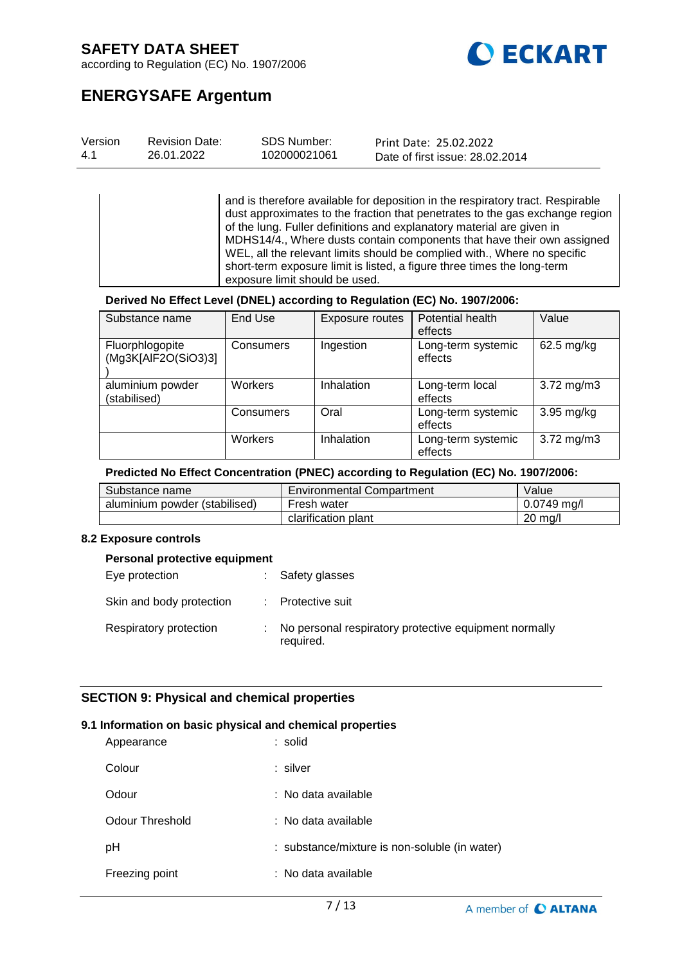

according to Regulation (EC) No. 1907/2006

# **ENERGYSAFE Argentum**

| Version | <b>Revision Date:</b> | <b>SDS Number:</b> | Print Date: 25.02.2022          |
|---------|-----------------------|--------------------|---------------------------------|
| 4.1     | 26.01.2022            | 102000021061       | Date of first issue: 28.02.2014 |

and is therefore available for deposition in the respiratory tract. Respirable dust approximates to the fraction that penetrates to the gas exchange region of the lung. Fuller definitions and explanatory material are given in MDHS14/4., Where dusts contain components that have their own assigned WEL, all the relevant limits should be complied with., Where no specific short-term exposure limit is listed, a figure three times the long-term exposure limit should be used.

#### **Derived No Effect Level (DNEL) according to Regulation (EC) No. 1907/2006:**

| Substance name                         | End Use          | Exposure routes | Potential health<br>effects   | Value                   |
|----------------------------------------|------------------|-----------------|-------------------------------|-------------------------|
| Fluorphlogopite<br>(Mg3K[AlF2O(SiO3)3] | <b>Consumers</b> | Ingestion       | Long-term systemic<br>effects | 62.5 mg/kg              |
| aluminium powder<br>(stabilised)       | Workers          | Inhalation      | Long-term local<br>effects    | $3.72 \,\mathrm{mg/m3}$ |
|                                        | Consumers        | Oral            | Long-term systemic<br>effects | $3.95$ mg/kg            |
|                                        | Workers          | Inhalation      | Long-term systemic<br>effects | $3.72 \,\mathrm{mg/m3}$ |

### **Predicted No Effect Concentration (PNEC) according to Regulation (EC) No. 1907/2006:**

| Substance name                | <b>Environmental Compartment</b> | Value             |
|-------------------------------|----------------------------------|-------------------|
| aluminium powder (stabilised) | Fresh water                      | $0.0749$ ma/l     |
|                               | clarification plant              | $20 \text{ mg/l}$ |

#### **8.2 Exposure controls**

# **Personal protective equipment** Eye protection : Safety glasses Skin and body protection : Protective suit Respiratory protection : No personal respiratory protective equipment normally required.

### **SECTION 9: Physical and chemical properties**

#### **9.1 Information on basic physical and chemical properties**

| Appearance      | : solid                                       |
|-----------------|-----------------------------------------------|
| Colour          | : silver                                      |
| Odour           | : No data available                           |
| Odour Threshold | : No data available                           |
| pH              | : substance/mixture is non-soluble (in water) |
| Freezing point  | : No data available                           |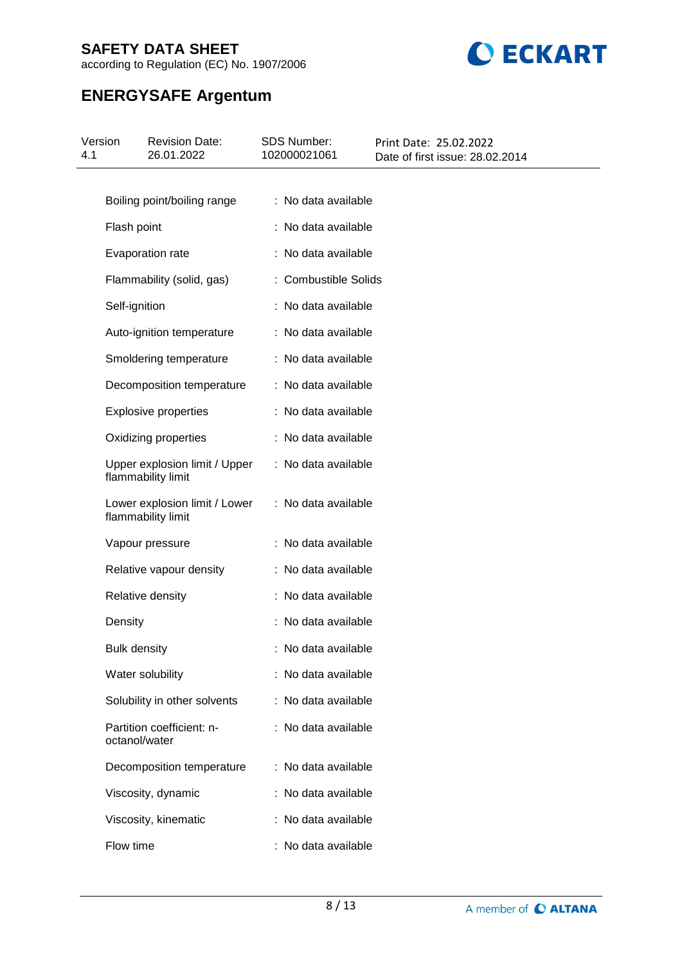according to Regulation (EC) No. 1907/2006



# **ENERGYSAFE Argentum**

| Version<br>4.1 |                     | <b>Revision Date:</b><br>26.01.2022                 | <b>SDS Number:</b><br>102000021061 | Print Date: 25.02.2022<br>Date of first issue: 28.02.2014 |
|----------------|---------------------|-----------------------------------------------------|------------------------------------|-----------------------------------------------------------|
|                |                     |                                                     |                                    |                                                           |
|                |                     | Boiling point/boiling range                         | : No data available                |                                                           |
|                | Flash point         |                                                     | : No data available                |                                                           |
|                |                     | Evaporation rate                                    | : No data available                |                                                           |
|                |                     | Flammability (solid, gas)                           | : Combustible Solids               |                                                           |
|                | Self-ignition       |                                                     | : No data available                |                                                           |
|                |                     | Auto-ignition temperature                           | : No data available                |                                                           |
|                |                     | Smoldering temperature                              | : No data available                |                                                           |
|                |                     | Decomposition temperature                           | : No data available                |                                                           |
|                |                     | <b>Explosive properties</b>                         | : No data available                |                                                           |
|                |                     | Oxidizing properties                                | : No data available                |                                                           |
|                |                     | Upper explosion limit / Upper<br>flammability limit | : No data available                |                                                           |
|                |                     | Lower explosion limit / Lower<br>flammability limit | : No data available                |                                                           |
|                |                     | Vapour pressure                                     | : No data available                |                                                           |
|                |                     | Relative vapour density                             | : No data available                |                                                           |
|                |                     | Relative density                                    | : No data available                |                                                           |
|                | Density             |                                                     | : No data available                |                                                           |
|                | <b>Bulk density</b> |                                                     | : No data available                |                                                           |
|                |                     | Water solubility                                    | : No data available                |                                                           |
|                |                     | Solubility in other solvents                        | : No data available                |                                                           |
|                | octanol/water       | Partition coefficient: n-                           | : No data available                |                                                           |
|                |                     | Decomposition temperature                           | : No data available                |                                                           |
|                |                     | Viscosity, dynamic                                  | : No data available                |                                                           |
|                |                     | Viscosity, kinematic                                | : No data available                |                                                           |
|                | Flow time           |                                                     | : No data available                |                                                           |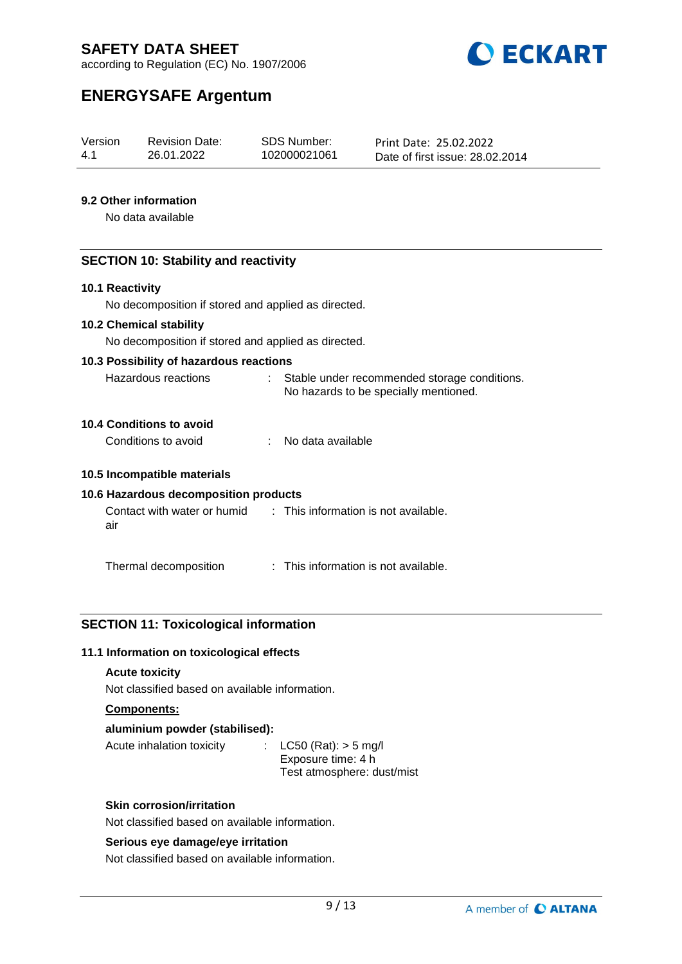

according to Regulation (EC) No. 1907/2006

# **ENERGYSAFE Argentum**

| Version | <b>Revision Date:</b> | SDS Number:  | Print Date: 25.02.2022          |
|---------|-----------------------|--------------|---------------------------------|
| $-4.1$  | 26.01.2022            | 102000021061 | Date of first issue: 28.02.2014 |

### **9.2 Other information**

No data available

### **SECTION 10: Stability and reactivity**

#### **10.1 Reactivity**

No decomposition if stored and applied as directed.

### **10.2 Chemical stability**

No decomposition if stored and applied as directed.

### **10.3 Possibility of hazardous reactions**

| Hazardous reactions | Stable under recommended storage conditions. |
|---------------------|----------------------------------------------|
|                     | No hazards to be specially mentioned.        |

## **10.4 Conditions to avoid**

| Conditions to avoid | No data available |
|---------------------|-------------------|
|                     |                   |

### **10.5 Incompatible materials**

### **10.6 Hazardous decomposition products**

| Contact with water or humid | : This information is not available. |
|-----------------------------|--------------------------------------|
| air                         |                                      |

Thermal decomposition : This information is not available.

## **SECTION 11: Toxicological information**

### **11.1 Information on toxicological effects**

### **Acute toxicity**

Not classified based on available information.

### **Components:**

### **aluminium powder (stabilised):**

Acute inhalation toxicity : LC50 (Rat): > 5 mg/l

Exposure time: 4 h Test atmosphere: dust/mist

### **Skin corrosion/irritation**

Not classified based on available information.

### **Serious eye damage/eye irritation**

Not classified based on available information.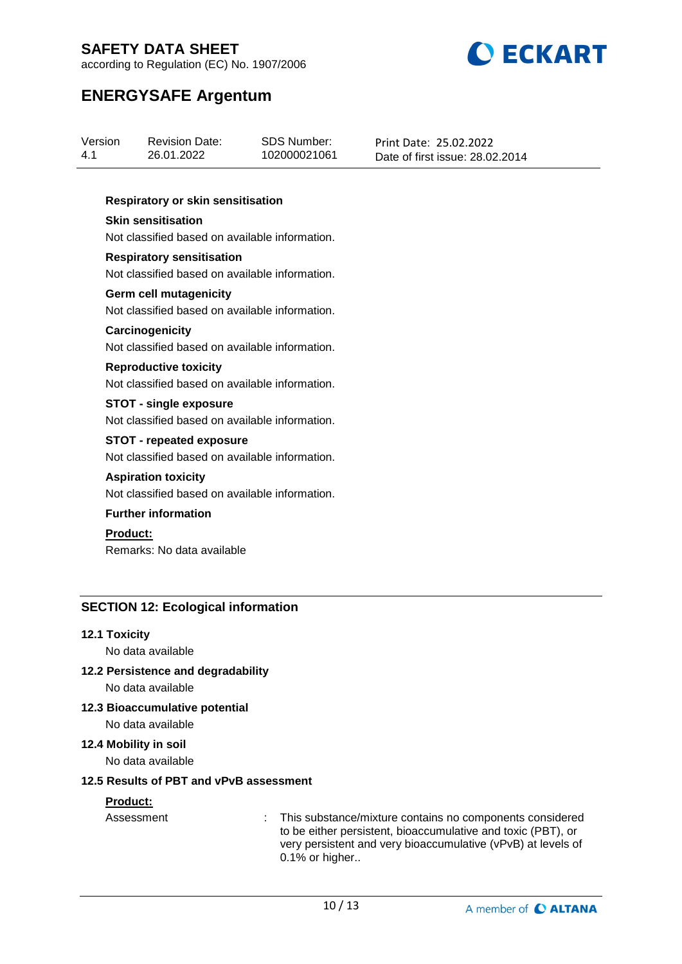

according to Regulation (EC) No. 1907/2006

# **ENERGYSAFE Argentum**

| Version<br>4.1 | <b>Revision Date:</b><br>26.01.2022            | <b>SDS Number:</b><br>102000021061 | Print Date: 25.02.2022<br>Date of first issue: 28.02.2014 |
|----------------|------------------------------------------------|------------------------------------|-----------------------------------------------------------|
|                | Respiratory or skin sensitisation              |                                    |                                                           |
|                | <b>Skin sensitisation</b>                      |                                    |                                                           |
|                | Not classified based on available information. |                                    |                                                           |
|                | <b>Respiratory sensitisation</b>               |                                    |                                                           |
|                | Not classified based on available information. |                                    |                                                           |
|                | <b>Germ cell mutagenicity</b>                  |                                    |                                                           |
|                | Not classified based on available information. |                                    |                                                           |
|                | Carcinogenicity                                |                                    |                                                           |
|                | Not classified based on available information. |                                    |                                                           |
|                | <b>Reproductive toxicity</b>                   |                                    |                                                           |
|                | Not classified based on available information. |                                    |                                                           |
|                | <b>STOT - single exposure</b>                  |                                    |                                                           |
|                | Not classified based on available information. |                                    |                                                           |
|                | <b>STOT - repeated exposure</b>                |                                    |                                                           |
|                | Not classified based on available information. |                                    |                                                           |
|                | <b>Aspiration toxicity</b>                     |                                    |                                                           |
|                | Not classified based on available information. |                                    |                                                           |
|                | <b>Further information</b>                     |                                    |                                                           |
| Product:       |                                                |                                    |                                                           |
|                | Remarks: No data available                     |                                    |                                                           |

## **SECTION 12: Ecological information**

### **12.1 Toxicity**

No data available

**12.2 Persistence and degradability**

No data available

**12.3 Bioaccumulative potential**

No data available

### **12.4 Mobility in soil**

No data available

### **12.5 Results of PBT and vPvB assessment**

## **Product:**

Assessment : This substance/mixture contains no components considered to be either persistent, bioaccumulative and toxic (PBT), or very persistent and very bioaccumulative (vPvB) at levels of 0.1% or higher..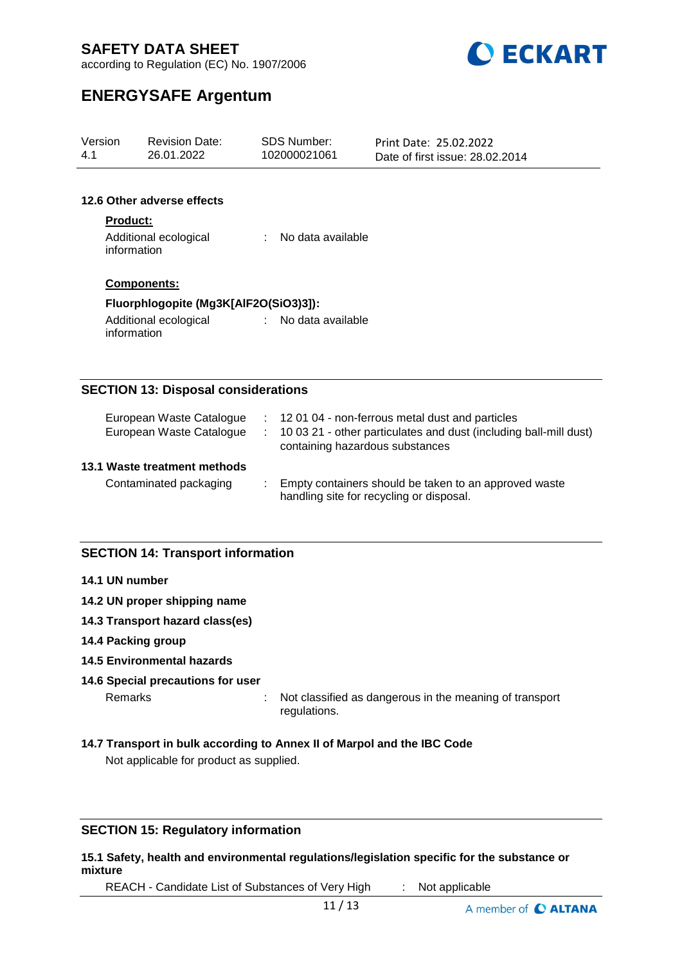

according to Regulation (EC) No. 1907/2006

# **ENERGYSAFE Argentum**

| Version<br>4.1                                            | <b>Revision Date:</b><br>26.01.2022                     |   | <b>SDS Number:</b><br>102000021061 | Print Date: 25.02.2022<br>Date of first issue: 28.02.2014                                                              |
|-----------------------------------------------------------|---------------------------------------------------------|---|------------------------------------|------------------------------------------------------------------------------------------------------------------------|
|                                                           | 12.6 Other adverse effects                              |   |                                    |                                                                                                                        |
|                                                           | <b>Product:</b><br>Additional ecological<br>information | ÷ | No data available                  |                                                                                                                        |
|                                                           | Components:                                             |   |                                    |                                                                                                                        |
|                                                           | Fluorphlogopite (Mg3K[AlF2O(SiO3)3]):                   |   |                                    |                                                                                                                        |
| No data available<br>Additional ecological<br>information |                                                         |   |                                    |                                                                                                                        |
|                                                           |                                                         |   |                                    |                                                                                                                        |
|                                                           | <b>SECTION 13: Disposal considerations</b>              |   |                                    |                                                                                                                        |
|                                                           | European Waste Catalogue<br>European Waste Catalogue    |   | containing hazardous substances    | : 12 01 04 - non-ferrous metal dust and particles<br>10 03 21 - other particulates and dust (including ball-mill dust) |
|                                                           | 13.1 Waste treatment methods                            |   |                                    |                                                                                                                        |
|                                                           | Contaminated packaging                                  |   |                                    | Empty containers should be taken to an approved waste                                                                  |

handling site for recycling or disposal.

## **SECTION 14: Transport information**

#### **14.1 UN number**

### **14.2 UN proper shipping name**

- **14.3 Transport hazard class(es)**
- **14.4 Packing group**

## **14.5 Environmental hazards**

#### **14.6 Special precautions for user**

Remarks : Not classified as dangerous in the meaning of transport regulations.

### **14.7 Transport in bulk according to Annex II of Marpol and the IBC Code**

Not applicable for product as supplied.

## **SECTION 15: Regulatory information**

### **15.1 Safety, health and environmental regulations/legislation specific for the substance or mixture**

REACH - Candidate List of Substances of Very High : Not applicable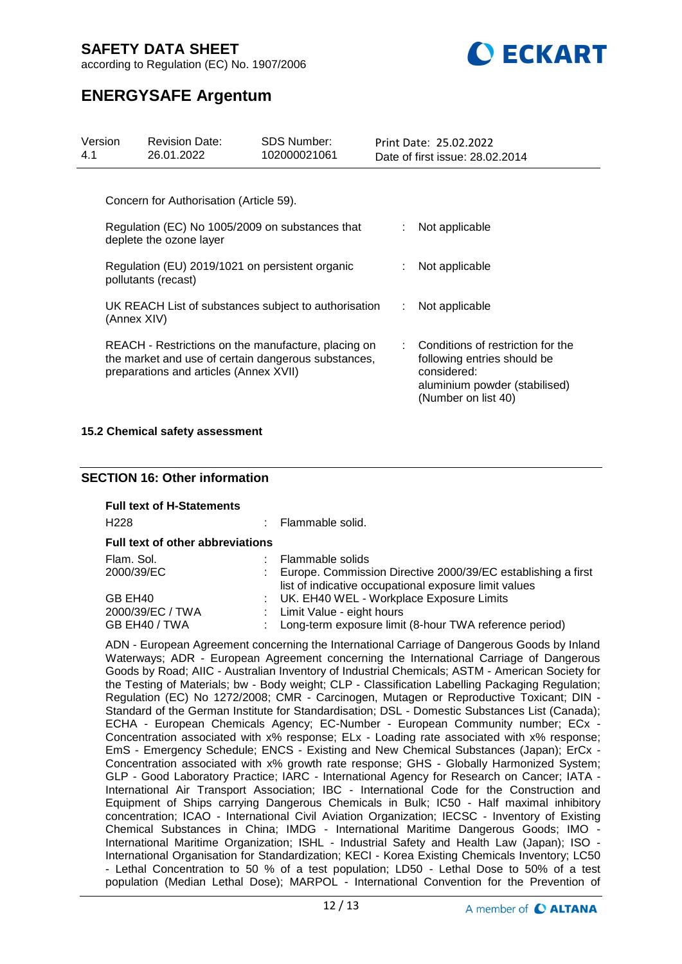

according to Regulation (EC) No. 1907/2006

# **ENERGYSAFE Argentum**

| Version<br>4.1 | <b>Revision Date:</b><br>26.01.2022                                                                                                                  | SDS Number:<br>102000021061 |    | Print Date: 25.02.2022<br>Date of first issue: 28.02.2014                                                                               |
|----------------|------------------------------------------------------------------------------------------------------------------------------------------------------|-----------------------------|----|-----------------------------------------------------------------------------------------------------------------------------------------|
|                | Concern for Authorisation (Article 59).                                                                                                              |                             |    |                                                                                                                                         |
|                | Regulation (EC) No 1005/2009 on substances that<br>deplete the ozone layer                                                                           |                             |    | Not applicable                                                                                                                          |
|                | Regulation (EU) 2019/1021 on persistent organic<br>pollutants (recast)                                                                               |                             | ÷. | Not applicable                                                                                                                          |
| (Annex XIV)    | UK REACH List of substances subject to authorisation                                                                                                 |                             | ÷. | Not applicable                                                                                                                          |
|                | REACH - Restrictions on the manufacture, placing on<br>the market and use of certain dangerous substances,<br>preparations and articles (Annex XVII) |                             |    | Conditions of restriction for the<br>following entries should be<br>considered:<br>aluminium powder (stabilised)<br>(Number on list 40) |

### **15.2 Chemical safety assessment**

### **SECTION 16: Other information**

| <b>Full text of H-Statements</b>        |          |                                                                                                                       |  |  |
|-----------------------------------------|----------|-----------------------------------------------------------------------------------------------------------------------|--|--|
| H <sub>228</sub>                        | <b>A</b> | Flammable solid.                                                                                                      |  |  |
| <b>Full text of other abbreviations</b> |          |                                                                                                                       |  |  |
| Flam. Sol.                              | t.       | Flammable solids                                                                                                      |  |  |
| 2000/39/EC                              |          | Europe. Commission Directive 2000/39/EC establishing a first<br>list of indicative occupational exposure limit values |  |  |
| GB EH40                                 |          | : UK. EH40 WEL - Workplace Exposure Limits                                                                            |  |  |
| 2000/39/EC / TWA                        |          | : Limit Value - eight hours                                                                                           |  |  |
| GB EH40 / TWA                           |          | Long-term exposure limit (8-hour TWA reference period)                                                                |  |  |

ADN - European Agreement concerning the International Carriage of Dangerous Goods by Inland Waterways; ADR - European Agreement concerning the International Carriage of Dangerous Goods by Road; AIIC - Australian Inventory of Industrial Chemicals; ASTM - American Society for the Testing of Materials; bw - Body weight; CLP - Classification Labelling Packaging Regulation; Regulation (EC) No 1272/2008; CMR - Carcinogen, Mutagen or Reproductive Toxicant; DIN - Standard of the German Institute for Standardisation; DSL - Domestic Substances List (Canada); ECHA - European Chemicals Agency; EC-Number - European Community number; ECx -Concentration associated with x% response; ELx - Loading rate associated with x% response; EmS - Emergency Schedule; ENCS - Existing and New Chemical Substances (Japan); ErCx - Concentration associated with x% growth rate response; GHS - Globally Harmonized System; GLP - Good Laboratory Practice; IARC - International Agency for Research on Cancer; IATA - International Air Transport Association; IBC - International Code for the Construction and Equipment of Ships carrying Dangerous Chemicals in Bulk; IC50 - Half maximal inhibitory concentration; ICAO - International Civil Aviation Organization; IECSC - Inventory of Existing Chemical Substances in China; IMDG - International Maritime Dangerous Goods; IMO - International Maritime Organization; ISHL - Industrial Safety and Health Law (Japan); ISO - International Organisation for Standardization; KECI - Korea Existing Chemicals Inventory; LC50 - Lethal Concentration to 50 % of a test population; LD50 - Lethal Dose to 50% of a test population (Median Lethal Dose); MARPOL - International Convention for the Prevention of